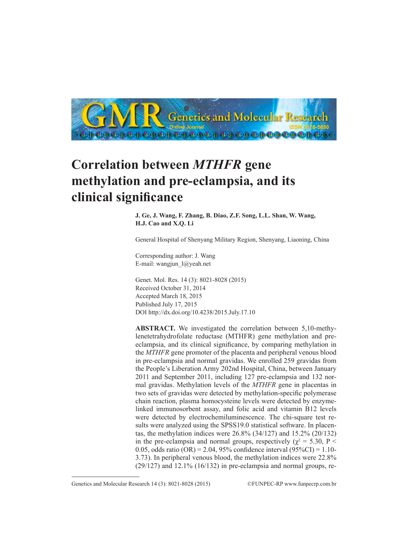

# **Correlation between** *MTHFR* **gene methylation and pre-eclampsia, and its clinical significance**

**J. Ge, J. Wang, F. Zhang, B. Diao, Z.F. Song, L.L. Shan, W. Wang, H.J. Cao and X.Q. Li**

General Hospital of Shenyang Military Region, Shenyang, Liaoning, China

Corresponding author: J. Wang E-mail: wangjun\_l@yeah.net

Genet. Mol. Res. 14 (3): 8021-8028 (2015) Received October 31, 2014 Accepted March 18, 2015 Published July 17, 2015 DOI http://dx.doi.org/10.4238/2015.July.17.10

**ABSTRACT.** We investigated the correlation between 5,10-methylenetetrahydrofolate reductase (MTHFR) gene methylation and preeclampsia, and its clinical significance, by comparing methylation in the *MTHFR* gene promoter of the placenta and peripheral venous blood in pre-eclampsia and normal gravidas. We enrolled 259 gravidas from the People's Liberation Army 202nd Hospital, China, between January 2011 and September 2011, including 127 pre-eclampsia and 132 normal gravidas. Methylation levels of the *MTHFR* gene in placentas in two sets of gravidas were detected by methylation-specific polymerase chain reaction, plasma homocysteine levels were detected by enzymelinked immunosorbent assay, and folic acid and vitamin B12 levels were detected by electrochemiluminescence. The chi-square test results were analyzed using the SPSS19.0 statistical software. In placentas, the methylation indices were 26.8% (34/127) and 15.2% (20/132) in the pre-eclampsia and normal groups, respectively ( $\chi^2 = 5.30$ , P < 0.05, odds ratio (OR) = 2.04, 95% confidence interval (95%CI) = 1.10-3.73). In peripheral venous blood, the methylation indices were 22.8%  $(29/127)$  and  $12.1\%$   $(16/132)$  in pre-eclampsia and normal groups, re-

Genetics and Molecular Research 14 (3): 8021-8028 (2015) ©FUNPEC-RP www.funpecrp.com.br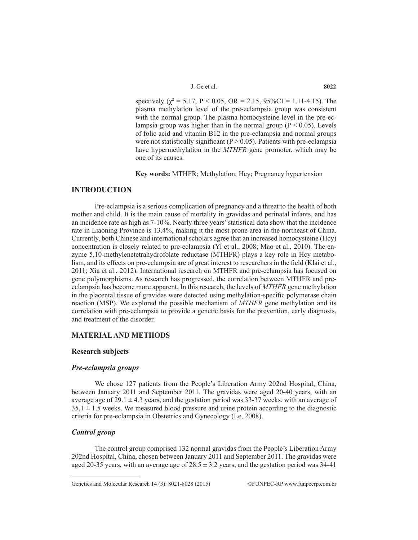J. Ge et al. **8022**

spectively ( $\chi^2$  = 5.17, P < 0.05, OR = 2.15, 95%CI = 1.11-4.15). The plasma methylation level of the pre-eclampsia group was consistent with the normal group. The plasma homocysteine level in the pre-eclampsia group was higher than in the normal group ( $P < 0.05$ ). Levels of folic acid and vitamin B12 in the pre-eclampsia and normal groups were not statistically significant ( $P > 0.05$ ). Patients with pre-eclampsia have hypermethylation in the *MTHFR* gene promoter, which may be one of its causes.

**Key words:** MTHFR; Methylation; Hcy; Pregnancy hypertension

# **INTRODUCTION**

Pre-eclampsia is a serious complication of pregnancy and a threat to the health of both mother and child. It is the main cause of mortality in gravidas and perinatal infants, and has an incidence rate as high as 7-10%. Nearly three years' statistical data show that the incidence rate in Liaoning Province is 13.4%, making it the most prone area in the northeast of China. Currently, both Chinese and international scholars agree that an increased homocysteine (Hcy) concentration is closely related to pre-eclampsia (Yi et al., 2008; Mao et al., 2010). The enzyme 5,10-methylenetetrahydrofolate reductase (MTHFR) plays a key role in Hcy metabolism, and its effects on pre-eclampsia are of great interest to researchers in the field (Klai et al., 2011; Xia et al., 2012). International research on MTHFR and pre-eclampsia has focused on gene polymorphisms. As research has progressed, the correlation between MTHFR and preeclampsia has become more apparent. In this research, the levels of *MTHFR* gene methylation in the placental tissue of gravidas were detected using methylation-specific polymerase chain reaction (MSP). We explored the possible mechanism of *MTHFR* gene methylation and its correlation with pre-eclampsia to provide a genetic basis for the prevention, early diagnosis, and treatment of the disorder.

# **MATERIAL AND METHODS**

## **Research subjects**

#### *Pre-eclampsia groups*

We chose 127 patients from the People's Liberation Army 202nd Hospital, China, between January 2011 and September 2011. The gravidas were aged 20-40 years, with an average age of  $29.1 \pm 4.3$  years, and the gestation period was 33-37 weeks, with an average of  $35.1 \pm 1.5$  weeks. We measured blood pressure and urine protein according to the diagnostic criteria for pre-eclampsia in Obstetrics and Gynecology (Le, 2008).

## *Control group*

The control group comprised 132 normal gravidas from the People's Liberation Army 202nd Hospital, China, chosen between January 2011 and September 2011. The gravidas were aged 20-35 years, with an average age of  $28.5 \pm 3.2$  years, and the gestation period was 34-41

Genetics and Molecular Research 14 (3): 8021-8028 (2015) ©FUNPEC-RP www.funpecrp.com.br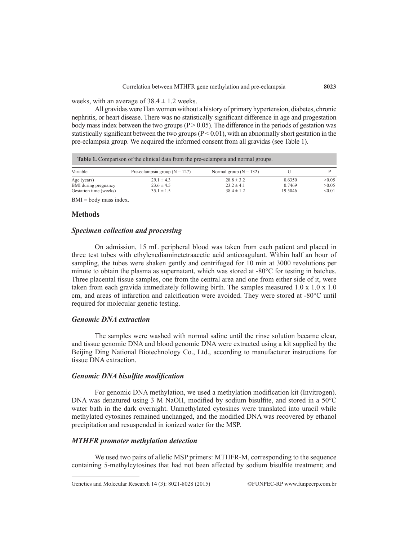weeks, with an average of  $38.4 \pm 1.2$  weeks.

All gravidas were Han women without a history of primary hypertension, diabetes, chronic nephritis, or heart disease. There was no statistically significant difference in age and progestation body mass index between the two groups ( $P > 0.05$ ). The difference in the periods of gestation was statistically significant between the two groups  $(P < 0.01)$ , with an abnormally short gestation in the pre-eclampsia group. We acquired the informed consent from all gravidas (see Table 1).

| <b>Table 1.</b> Comparison of the clinical data from the pre-eclampsia and normal groups. |                                 |                            |         |        |  |
|-------------------------------------------------------------------------------------------|---------------------------------|----------------------------|---------|--------|--|
| Variable                                                                                  | Pre-eclampsia group $(N = 127)$ | Normal group ( $N = 132$ ) |         |        |  |
| Age (years)                                                                               | $29.1 \pm 4.3$                  | $28.8 \pm 3.2$             | 0.6350  | >0.05  |  |
| BMI during pregnancy                                                                      | $23.6 \pm 4.5$                  | $23.2 \pm 4.1$             | 0.7469  | >0.05  |  |
| Gestation time (weeks)                                                                    | $35.1 \pm 1.5$                  | $38.4 \pm 1.2$             | 19.5046 | < 0.01 |  |

 $BMI = body$  mass index.

## **Methods**

## *Specimen collection and processing*

On admission, 15 mL peripheral blood was taken from each patient and placed in three test tubes with ethylenediaminetetraacetic acid anticoagulant. Within half an hour of sampling, the tubes were shaken gently and centrifuged for 10 min at 3000 revolutions per minute to obtain the plasma as supernatant, which was stored at -80°C for testing in batches. Three placental tissue samples, one from the central area and one from either side of it, were taken from each gravida immediately following birth. The samples measured  $1.0 \times 1.0 \times 1.0$ cm, and areas of infarction and calcification were avoided. They were stored at -80°C until required for molecular genetic testing.

# *Genomic DNA extraction*

The samples were washed with normal saline until the rinse solution became clear, and tissue genomic DNA and blood genomic DNA were extracted using a kit supplied by the Beijing Ding National Biotechnology Co., Ltd., according to manufacturer instructions for tissue DNA extraction.

## *Genomic DNA bisulfite modification*

For genomic DNA methylation, we used a methylation modification kit (Invitrogen). DNA was denatured using 3 M NaOH, modified by sodium bisulfite, and stored in a 50°C water bath in the dark overnight. Unmethylated cytosines were translated into uracil while methylated cytosines remained unchanged, and the modified DNA was recovered by ethanol precipitation and resuspended in ionized water for the MSP.

## *MTHFR promoter methylation detection*

We used two pairs of allelic MSP primers: MTHFR-M, corresponding to the sequence containing 5-methylcytosines that had not been affected by sodium bisulfite treatment; and

Genetics and Molecular Research 14 (3): 8021-8028 (2015) ©FUNPEC-RP www.funpecrp.com.br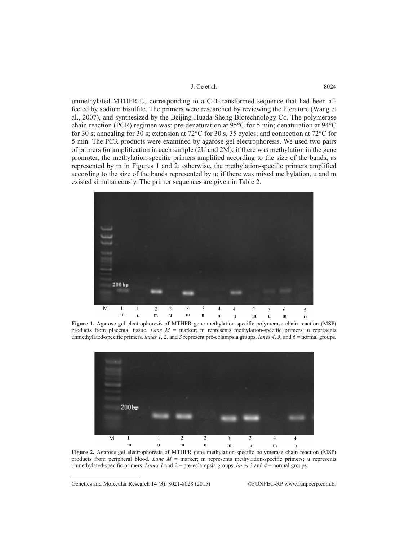#### J. Ge et al. **8024**

unmethylated MTHFR-U, corresponding to a C-T-transformed sequence that had been affected by sodium bisulfite. The primers were researched by reviewing the literature (Wang et al., 2007), and synthesized by the Beijing Huada Sheng Biotechnology Co. The polymerase chain reaction (PCR) regimen was: pre-denaturation at 95°C for 5 min; denaturation at 94°C for 30 s; annealing for 30 s; extension at  $72^{\circ}$ C for 30 s, 35 cycles; and connection at  $72^{\circ}$ C for 5 min. The PCR products were examined by agarose gel electrophoresis. We used two pairs of primers for amplification in each sample (2U and 2M); if there was methylation in the gene promoter, the methylation-specific primers amplified according to the size of the bands, as represented by m in Figures 1 and 2; otherwise, the methylation-specific primers amplified according to the size of the bands represented by u; if there was mixed methylation, u and m existed simultaneously. The primer sequences are given in Table 2.



**Figure 1.** Agarose gel electrophoresis of MTHFR gene methylation-specific polymerase chain reaction (MSP) products from placental tissue. *Lane M* = marker; m represents methylation-specific primers; u represents unmethylated-specific primers. *lanes 1*, *2*, and *3* represent pre-eclampsia groups. *lanes 4*, *5*, and *6* = normal groups.



**Figure 2.** Agarose gel electrophoresis of MTHFR gene methylation-specific polymerase chain reaction (MSP) products from peripheral blood. *Lane M* = marker; m represents methylation-specific primers; u represents unmethylated-specific primers. *Lanes 1* and *2* = pre-eclampsia groups, *lanes 3* and *4* = normal groups.

Genetics and Molecular Research 14 (3): 8021-8028 (2015) ©FUNPEC-RP www.funpecrp.com.br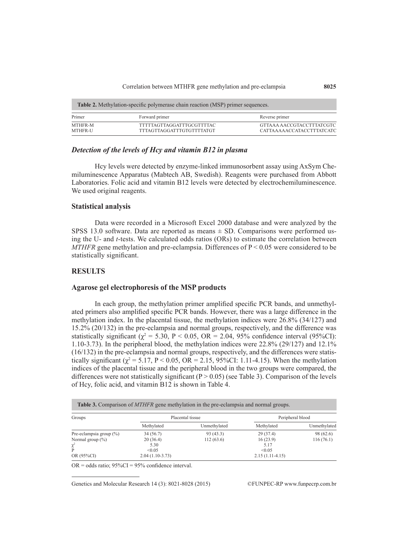| <b>Table 2.</b> Methylation-specific polymerase chain reaction (MSP) primer sequences. |                                                               |                                                        |  |  |
|----------------------------------------------------------------------------------------|---------------------------------------------------------------|--------------------------------------------------------|--|--|
| Primer                                                                                 | Forward primer                                                | Reverse primer                                         |  |  |
| MTHFR-M<br><b>MTHFR-U</b>                                                              | TTTTTAGTTAGGATTTGCGTTTTAC<br><b>TTTAGTTAGGATTTGTGTTTTATGT</b> | GTTAAA AACCGTACCTTTATCGTC<br>CATTAAAAACCATACCTTTATCATC |  |  |

# *Detection of the levels of Hcy and vitamin B12 in plasma*

Hcy levels were detected by enzyme-linked immunosorbent assay using AxSym Chemiluminescence Apparatus (Mabtech AB, Swedish). Reagents were purchased from Abbott Laboratories. Folic acid and vitamin B12 levels were detected by electrochemiluminescence. We used original reagents.

## **Statistical analysis**

Data were recorded in a Microsoft Excel 2000 database and were analyzed by the SPSS 13.0 software. Data are reported as means  $\pm$  SD. Comparisons were performed using the U- and *t*-tests. We calculated odds ratios (ORs) to estimate the correlation between *MTHFR* gene methylation and pre-eclampsia. Differences of P < 0.05 were considered to be statistically significant.

# **RESULTS**

#### **Agarose gel electrophoresis of the MSP products**

In each group, the methylation primer amplified specific PCR bands, and unmethylated primers also amplified specific PCR bands. However, there was a large difference in the methylation index. In the placental tissue, the methylation indices were 26.8% (34/127) and 15.2% (20/132) in the pre-eclampsia and normal groups, respectively, and the difference was statistically significant ( $\chi^2 = 5.30$ , P < 0.05, OR = 2.04, 95% confidence interval (95%CI): 1.10-3.73). In the peripheral blood, the methylation indices were 22.8% (29/127) and 12.1% (16/132) in the pre-eclampsia and normal groups, respectively, and the differences were statistically significant ( $\chi^2$  = 5.17, P < 0.05, OR = 2.15, 95%CI: 1.11-4.15). When the methylation indices of the placental tissue and the peripheral blood in the two groups were compared, the differences were not statistically significant  $(P > 0.05)$  (see Table 3). Comparison of the levels of Hcy, folic acid, and vitamin B12 is shown in Table 4.

| Groups                      | Placental tissue  |              | Peripheral blood  |              |
|-----------------------------|-------------------|--------------|-------------------|--------------|
|                             | Methylated        | Unmethylated | Methylated        | Unmethylated |
| Pre-eclampsia group $(\% )$ | 34(56.7)          | 93 (43.3)    | 29(37.4)          | 98 (62.6)    |
| Normal group $(\% )$        | 20(36.4)          | 112(63.6)    | 16(23.9)          | 116(76.1)    |
| $\chi^2$                    | 5.30              |              | 5.17              |              |
|                             | < 0.05            |              | < 0.05            |              |
| OR (95%CI)                  | $2.04(1.10-3.73)$ |              | $2.15(1.11-4.15)$ |              |

 $OR = odds ratio$ ;  $95\%CI = 95\% confidence interval$ .

Genetics and Molecular Research 14 (3): 8021-8028 (2015) ©FUNPEC-RP www.funpecrp.com.br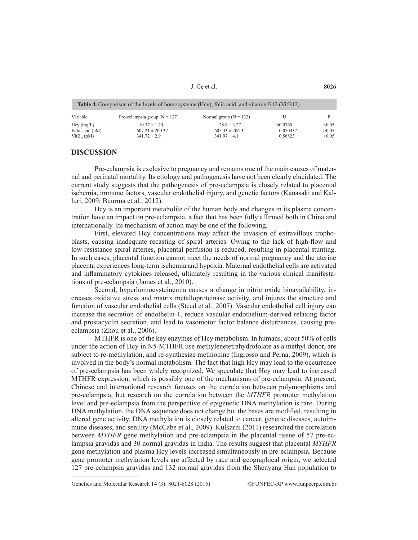J. Ge et al. **8026**

| <b>Table 4.</b> Comparison of the levels of homocysteine (Hcy), folic acid, and vitamin B12 (VitB12). |                                                             |                                                            |                                |                          |  |  |
|-------------------------------------------------------------------------------------------------------|-------------------------------------------------------------|------------------------------------------------------------|--------------------------------|--------------------------|--|--|
| Variable                                                                                              | Pre-eclampsia group ( $N = 127$ )                           | Normal group ( $N = 132$ )                                 |                                |                          |  |  |
| $Hcy$ (mg/L)<br>Folic acid (nM)<br>$VitB_{12}(pM)$                                                    | $10.37 \pm 1.29$<br>$607.21 \pm 200.37$<br>$341.72 \pm 2.9$ | $28.8 \pm 3.27$<br>$605.43 \pm 206.32$<br>$341.97 \pm 4.1$ | 60.0769<br>0.070437<br>0.56823 | < 0.05<br>>0.05<br>>0.05 |  |  |

#### **DISCUSSION**

Pre-eclampsia is exclusive to pregnancy and remains one of the main causes of maternal and perinatal mortality. Its etiology and pathogenesis have not been clearly elucidated. The current study suggests that the pathogenesis of pre-eclampsia is closely related to placental ischemia, immune factors, vascular endothelial injury, and genetic factors (Kanasaki and Kalluri, 2009; Buurma et al., 2012).

Hcy is an important metabolite of the human body and changes in its plasma concentration have an impact on pre-eclampsia, a fact that has been fully affirmed both in China and internationally. Its mechanism of action may be one of the following.

First, elevated Hcy concentrations may affect the invasion of extravillous trophoblasts, causing inadequate recasting of spiral arteries. Owing to the lack of high-flow and low-resistance spiral arteries, placental perfusion is reduced, resulting in placental stunting. In such cases, placental function cannot meet the needs of normal pregnancy and the uterine placenta experiences long-term ischemia and hypoxia. Maternal endothelial cells are activated and inflammatory cytokines released, ultimately resulting in the various clinical manifestations of pre-eclampsia (James et al., 2010).

Second, hyperhomocysteinemia causes a change in nitric oxide bioavailability, increases oxidative stress and matrix metalloproteinase activity, and injures the structure and function of vascular endothelial cells (Steed et al., 2007). Vascular endothelial cell injury can increase the secretion of endothelin-1, reduce vascular endothelium-derived relaxing factor and prostacyclin secretion, and lead to vasomotor factor balance disturbances, causing preeclampsia (Zhou et al., 2006).

MTHFR is one of the key enzymes of Hcy metabolism. In humans, about 50% of cells under the action of Hcy in N5-MTHFR use methylenetetrahydrofolate as a methyl donor, are subject to re-methylation, and re-synthesize methionine (Ingrosso and Perna, 2009), which is involved in the body's normal metabolism. The fact that high Hcy may lead to the occurrence of pre-eclampsia has been widely recognized. We speculate that Hcy may lead to increased MTHFR expression, which is possibly one of the mechanisms of pre-eclampsia. At present, Chinese and international research focuses on the correlation between polymorphisms and pre-eclampsia, but research on the correlation between the *MTHFR* promoter methylation level and pre-eclampsia from the perspective of epigenetic DNA methylation is rare. During DNA methylation, the DNA sequence does not change but the bases are modified, resulting in altered gene activity. DNA methylation is closely related to cancer, genetic diseases, autoimmune diseases, and senility (McCabe et al., 2009). Kulkarni (2011) researched the correlation between *MTHFR* gene methylation and pre-eclampsia in the placental tissue of 57 pre-eclampsia gravidas and 30 normal gravidas in India. The results suggest that placental *MTHFR* gene methylation and plasma Hcy levels increased simultaneously in pre-eclampsia. Because gene promoter methylation levels are affected by race and geographical origin, we selected 127 pre-eclampsia gravidas and 132 normal gravidas from the Shenyang Han population to

Genetics and Molecular Research 14 (3): 8021-8028 (2015) ©FUNPEC-RP www.funpecrp.com.br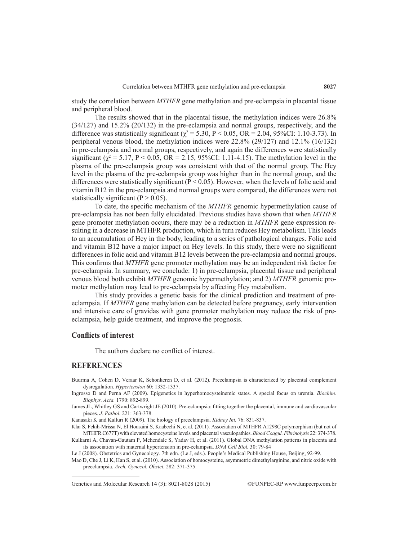study the correlation between *MTHFR* gene methylation and pre-eclampsia in placental tissue and peripheral blood.

The results showed that in the placental tissue, the methylation indices were 26.8% (34/127) and 15.2% (20/132) in the pre-eclampsia and normal groups, respectively, and the difference was statistically significant ( $\chi^2 = 5.30$ , P < 0.05, OR = 2.04, 95%CI: 1.10-3.73). In peripheral venous blood, the methylation indices were 22.8% (29/127) and 12.1% (16/132) in pre-eclampsia and normal groups, respectively, and again the differences were statistically significant ( $\chi^2 = 5.17$ , P < 0.05, OR = 2.15, 95%CI: 1.11-4.15). The methylation level in the plasma of the pre-eclampsia group was consistent with that of the normal group. The Hcy level in the plasma of the pre-eclampsia group was higher than in the normal group, and the differences were statistically significant ( $P < 0.05$ ). However, when the levels of folic acid and vitamin B12 in the pre-eclampsia and normal groups were compared, the differences were not statistically significant ( $P > 0.05$ ).

To date, the specific mechanism of the *MTHFR* genomic hypermethylation cause of pre-eclampsia has not been fully elucidated. Previous studies have shown that when *MTHFR* gene promoter methylation occurs, there may be a reduction in *MTHFR* gene expression resulting in a decrease in MTHFR production, which in turn reduces Hcy metabolism. This leads to an accumulation of Hcy in the body, leading to a series of pathological changes. Folic acid and vitamin B12 have a major impact on Hcy levels. In this study, there were no significant differences in folic acid and vitamin B12 levels between the pre-eclampsia and normal groups. This confirms that *MTHFR* gene promoter methylation may be an independent risk factor for pre-eclampsia. In summary, we conclude: 1) in pre-eclampsia, placental tissue and peripheral venous blood both exhibit *MTHFR* genomic hypermethylation; and 2) *MTHFR* genomic promoter methylation may lead to pre-eclampsia by affecting Hcy metabolism.

This study provides a genetic basis for the clinical prediction and treatment of preeclampsia. If *MTHFR* gene methylation can be detected before pregnancy, early intervention and intensive care of gravidas with gene promoter methylation may reduce the risk of preeclampsia, help guide treatment, and improve the prognosis.

# **Conflicts of interest**

The authors declare no conflict of interest.

# **REFERENCES**

Buurma A, Cohen D, Veraar K, Schonkeren D, et al. (2012). Preeclampsia is characterized by placental complement dysregulation. *Hypertension* 60: 1332-1337.

Kanasaki K and Kalluri R (2009). The biology of preeclampsia. *Kidney Int.* 76: 831-837.

Klai S, Fekih-Mrissa N, El Housaini S, Kaabechi N, et al. (2011). Association of MTHFR A1298C polymorphism (but not of MTHFR C677T) with elevated homocysteine levels and placental vasculopathies. *Blood Coagul. Fibrinolysis* 22: 374-378.

Kulkarni A, Chavan-Gautam P, Mehendale S, Yadav H, et al. (2011). Global DNA methylation patterns in placenta and its association with maternal hypertension in pre-eclampsia. *DNA Cell Biol.* 30: 79-84

Le J (2008). Obstetrics and Gynecology. 7th edn. (Le J, eds.). People's Medical Publishing House, Beijing, 92-99.

Mao D, Che J, Li K, Han S, et al. (2010). Association of homocysteine, asymmetric dimethylarginine, and nitric oxide with preeclampsia. *Arch. Gynecol. Obstet.* 282: 371-375.

Genetics and Molecular Research 14 (3): 8021-8028 (2015) ©FUNPEC-RP www.funpecrp.com.br

Ingrosso D and Perna AF (2009). Epigenetics in hyperhomocysteinemic states. A special focus on uremia. *Biochim. Biophys. Acta.* 1790: 892-899.

James JL, Whitley GS and Cartwright JE (2010). Pre-eclampsia: fitting together the placental, immune and cardiovascular pieces. *J. Pathol.* 221: 363-378.